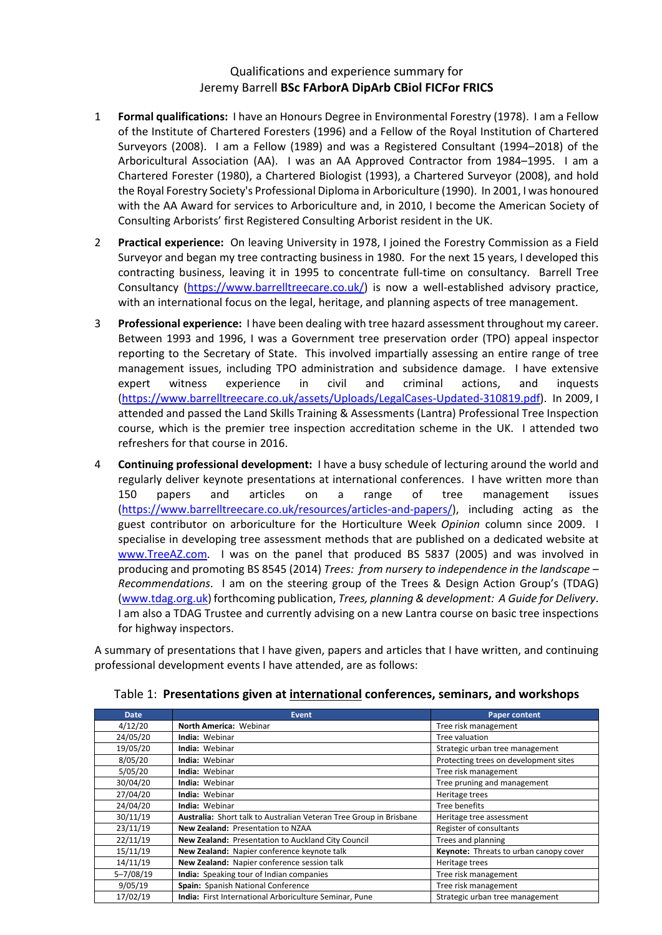#### Qualifications and experience summary for Jeremy Barrell **BSc FArborA DipArb CBiol FICFor FRICS**

- 1 **Formal qualifications:** I have an Honours Degree in Environmental Forestry (1978). I am a Fellow of the Institute of Chartered Foresters (1996) and a Fellow of the Royal Institution of Chartered Surveyors (2008). I am a Fellow (1989) and was a Registered Consultant (1994–2018) of the Arboricultural Association (AA). I was an AA Approved Contractor from 1984–1995. I am a Chartered Forester (1980), a Chartered Biologist (1993), a Chartered Surveyor (2008), and hold the Royal Forestry Society's Professional Diploma in Arboriculture (1990). In 2001, I was honoured with the AA Award for services to Arboriculture and, in 2010, I become the American Society of Consulting Arborists' first Registered Consulting Arborist resident in the UK.
- 2 **Practical experience:** On leaving University in 1978, I joined the Forestry Commission as a Field Surveyor and began my tree contracting business in 1980. For the next 15 years, I developed this contracting business, leaving it in 1995 to concentrate full-time on consultancy. Barrell Tree Consultancy (https://www.barrelltreecare.co.uk/) is now a well‐established advisory practice, with an international focus on the legal, heritage, and planning aspects of tree management.
- 3 **Professional experience:** I have been dealing with tree hazard assessment throughout my career. Between 1993 and 1996, I was a Government tree preservation order (TPO) appeal inspector reporting to the Secretary of State. This involved impartially assessing an entire range of tree management issues, including TPO administration and subsidence damage. I have extensive expert witness experience in civil and criminal actions, and inquests (https://www.barrelltreecare.co.uk/assets/Uploads/LegalCases‐Updated‐310819.pdf). In 2009, I attended and passed the Land Skills Training & Assessments (Lantra) Professional Tree Inspection course, which is the premier tree inspection accreditation scheme in the UK. I attended two refreshers for that course in 2016.
- 4 **Continuing professional development:** I have a busy schedule of lecturing around the world and regularly deliver keynote presentations at international conferences. I have written more than 150 papers and articles on a range of tree management issues (https://www.barrelltreecare.co.uk/resources/articles‐and‐papers/), including acting as the guest contributor on arboriculture for the Horticulture Week *Opinion* column since 2009. I specialise in developing tree assessment methods that are published on a dedicated website at www.TreeAZ.com. I was on the panel that produced BS 5837 (2005) and was involved in producing and promoting BS 8545 (2014) *Trees: from nursery to independence in the landscape – Recommendations*. I am on the steering group of the Trees & Design Action Group's (TDAG) (www.tdag.org.uk) forthcoming publication, *Trees, planning & development: A Guide for Delivery*. I am also a TDAG Trustee and currently advising on a new Lantra course on basic tree inspections for highway inspectors.

A summary of presentations that I have given, papers and articles that I have written, and continuing professional development events I have attended, are as follows:

| <b>Date</b>   | <b>Event</b>                                                       | <b>Paper content</b>                   |
|---------------|--------------------------------------------------------------------|----------------------------------------|
| 4/12/20       | North America: Webinar                                             | Tree risk management                   |
| 24/05/20      | <b>India: Webinar</b>                                              | Tree valuation                         |
| 19/05/20      | <b>India: Webinar</b>                                              | Strategic urban tree management        |
| 8/05/20       | <b>India: Webinar</b>                                              | Protecting trees on development sites  |
| 5/05/20       | India: Webinar                                                     | Tree risk management                   |
| 30/04/20      | <b>India: Webinar</b>                                              | Tree pruning and management            |
| 27/04/20      | <b>India: Webinar</b>                                              | Heritage trees                         |
| 24/04/20      | India: Webinar                                                     | Tree benefits                          |
| 30/11/19      | Australia: Short talk to Australian Veteran Tree Group in Brisbane | Heritage tree assessment               |
| 23/11/19      | New Zealand: Presentation to NZAA                                  | Register of consultants                |
| 22/11/19      | New Zealand: Presentation to Auckland City Council                 | Trees and planning                     |
| 15/11/19      | New Zealand: Napier conference keynote talk                        | Keynote: Threats to urban canopy cover |
| 14/11/19      | New Zealand: Napier conference session talk                        | Heritage trees                         |
| $5 - 7/08/19$ | India: Speaking tour of Indian companies                           | Tree risk management                   |
| 9/05/19       | Spain: Spanish National Conference                                 | Tree risk management                   |
| 17/02/19      | India: First International Arboriculture Seminar, Pune             | Strategic urban tree management        |

Table 1: **Presentations given at international conferences, seminars, and workshops**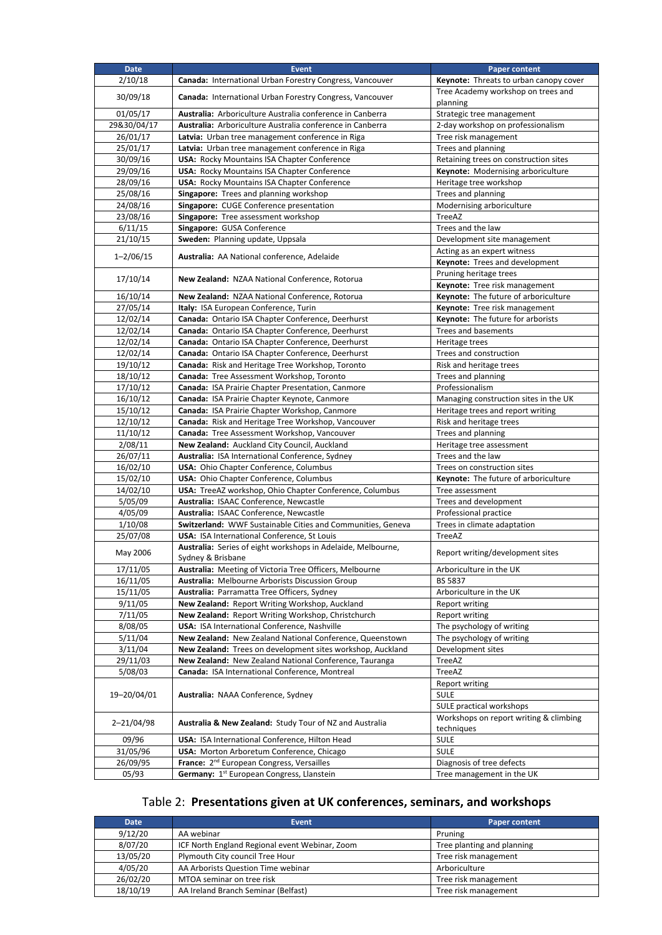| <b>Date</b>   | <b>Event</b>                                                       | <b>Paper content</b>                     |
|---------------|--------------------------------------------------------------------|------------------------------------------|
| 2/10/18       | Canada: International Urban Forestry Congress, Vancouver           | Keynote: Threats to urban canopy cover   |
|               |                                                                    | Tree Academy workshop on trees and       |
| 30/09/18      | Canada: International Urban Forestry Congress, Vancouver           | planning                                 |
| 01/05/17      | Australia: Arboriculture Australia conference in Canberra          | Strategic tree management                |
| 29&30/04/17   | Australia: Arboriculture Australia conference in Canberra          | 2-day workshop on professionalism        |
| 26/01/17      | Latvia: Urban tree management conference in Riga                   | Tree risk management                     |
| 25/01/17      | Latvia: Urban tree management conference in Riga                   | Trees and planning                       |
| 30/09/16      | <b>USA: Rocky Mountains ISA Chapter Conference</b>                 | Retaining trees on construction sites    |
| 29/09/16      | <b>USA: Rocky Mountains ISA Chapter Conference</b>                 | Keynote: Modernising arboriculture       |
| 28/09/16      | USA: Rocky Mountains ISA Chapter Conference                        | Heritage tree workshop                   |
| 25/08/16      | Singapore: Trees and planning workshop                             | Trees and planning                       |
| 24/08/16      | Singapore: CUGE Conference presentation                            | Modernising arboriculture                |
| 23/08/16      | Singapore: Tree assessment workshop                                | TreeAZ                                   |
| 6/11/15       | Singapore: GUSA Conference                                         | Trees and the law                        |
| 21/10/15      | Sweden: Planning update, Uppsala                                   | Development site management              |
|               |                                                                    | Acting as an expert witness              |
| $1 - 2/06/15$ | Australia: AA National conference, Adelaide                        | Keynote: Trees and development           |
|               |                                                                    | Pruning heritage trees                   |
| 17/10/14      | New Zealand: NZAA National Conference, Rotorua                     | Keynote: Tree risk management            |
| 16/10/14      | New Zealand: NZAA National Conference, Rotorua                     | Keynote: The future of arboriculture     |
| 27/05/14      | Italy: ISA European Conference, Turin                              | Keynote: Tree risk management            |
| 12/02/14      | Canada: Ontario ISA Chapter Conference, Deerhurst                  | <b>Keynote:</b> The future for arborists |
| 12/02/14      | Canada: Ontario ISA Chapter Conference, Deerhurst                  | Trees and basements                      |
| 12/02/14      | Canada: Ontario ISA Chapter Conference, Deerhurst                  | Heritage trees                           |
| 12/02/14      | Canada: Ontario ISA Chapter Conference, Deerhurst                  | Trees and construction                   |
| 19/10/12      | Canada: Risk and Heritage Tree Workshop, Toronto                   | Risk and heritage trees                  |
| 18/10/12      | Canada: Tree Assessment Workshop, Toronto                          | Trees and planning                       |
| 17/10/12      | Canada: ISA Prairie Chapter Presentation, Canmore                  | Professionalism                          |
| 16/10/12      | Canada: ISA Prairie Chapter Keynote, Canmore                       | Managing construction sites in the UK    |
| 15/10/12      | Canada: ISA Prairie Chapter Workshop, Canmore                      | Heritage trees and report writing        |
| 12/10/12      | Canada: Risk and Heritage Tree Workshop, Vancouver                 | Risk and heritage trees                  |
| 11/10/12      | <b>Canada:</b> Tree Assessment Workshop, Vancouver                 | Trees and planning                       |
| 2/08/11       | New Zealand: Auckland City Council, Auckland                       | Heritage tree assessment                 |
| 26/07/11      | Australia: ISA International Conference, Sydney                    | Trees and the law                        |
| 16/02/10      | USA: Ohio Chapter Conference, Columbus                             | Trees on construction sites              |
| 15/02/10      | USA: Ohio Chapter Conference, Columbus                             | Keynote: The future of arboriculture     |
| 14/02/10      | USA: TreeAZ workshop, Ohio Chapter Conference, Columbus            | Tree assessment                          |
| 5/05/09       | Australia: ISAAC Conference, Newcastle                             | Trees and development                    |
| 4/05/09       | Australia: ISAAC Conference, Newcastle                             | Professional practice                    |
| 1/10/08       | Switzerland: WWF Sustainable Cities and Communities, Geneva        | Trees in climate adaptation              |
| 25/07/08      | USA: ISA International Conference, St Louis                        | TreeAZ                                   |
|               | Australia: Series of eight workshops in Adelaide, Melbourne,       |                                          |
| May 2006      | Sydney & Brisbane                                                  | Report writing/development sites         |
| 17/11/05      | Australia: Meeting of Victoria Tree Officers, Melbourne            | Arboriculture in the UK                  |
| 16/11/05      | Australia: Melbourne Arborists Discussion Group                    | <b>BS 5837</b>                           |
| 15/11/05      | Australia: Parramatta Tree Officers, Sydney                        | Arboriculture in the UK                  |
| 9/11/05       | New Zealand: Report Writing Workshop, Auckland                     | Report writing                           |
| 7/11/05       | New Zealand: Report Writing Workshop, Christchurch                 | Report writing                           |
| 8/08/05       | USA: ISA International Conference, Nashville                       | The psychology of writing                |
| 5/11/04       | New Zealand: New Zealand National Conference, Queenstown           | The psychology of writing                |
| 3/11/04       | New Zealand: Trees on development sites workshop, Auckland         | Development sites                        |
| 29/11/03      | New Zealand: New Zealand National Conference, Tauranga             | TreeAZ                                   |
| 5/08/03       | Canada: ISA International Conference, Montreal                     | TreeAZ                                   |
|               |                                                                    | <b>Report writing</b>                    |
| 19-20/04/01   | Australia: NAAA Conference, Sydney                                 | <b>SULE</b>                              |
|               |                                                                    | SULE practical workshops                 |
|               |                                                                    | Workshops on report writing & climbing   |
| 2-21/04/98    | <b>Australia &amp; New Zealand: Study Tour of NZ and Australia</b> | techniques                               |
| 09/96         | USA: ISA International Conference, Hilton Head                     | SULE                                     |
| 31/05/96      | USA: Morton Arboretum Conference, Chicago                          | <b>SULE</b>                              |
| 26/09/95      | France: 2 <sup>nd</sup> European Congress, Versailles              | Diagnosis of tree defects                |
| 05/93         | Germany: 1 <sup>st</sup> European Congress, Llanstein              | Tree management in the UK                |
|               |                                                                    |                                          |

## Table 2: **Presentations given at UK conferences, seminars, and workshops**

| <b>Date</b> | <b>Event</b>                                   | <b>Paper content</b>       |
|-------------|------------------------------------------------|----------------------------|
| 9/12/20     | AA webinar                                     | Pruning                    |
| 8/07/20     | ICF North England Regional event Webinar, Zoom | Tree planting and planning |
| 13/05/20    | Plymouth City council Tree Hour                | Tree risk management       |
| 4/05/20     | AA Arborists Question Time webinar             | Arboriculture              |
| 26/02/20    | MTOA seminar on tree risk                      | Tree risk management       |
| 18/10/19    | AA Ireland Branch Seminar (Belfast)            | Tree risk management       |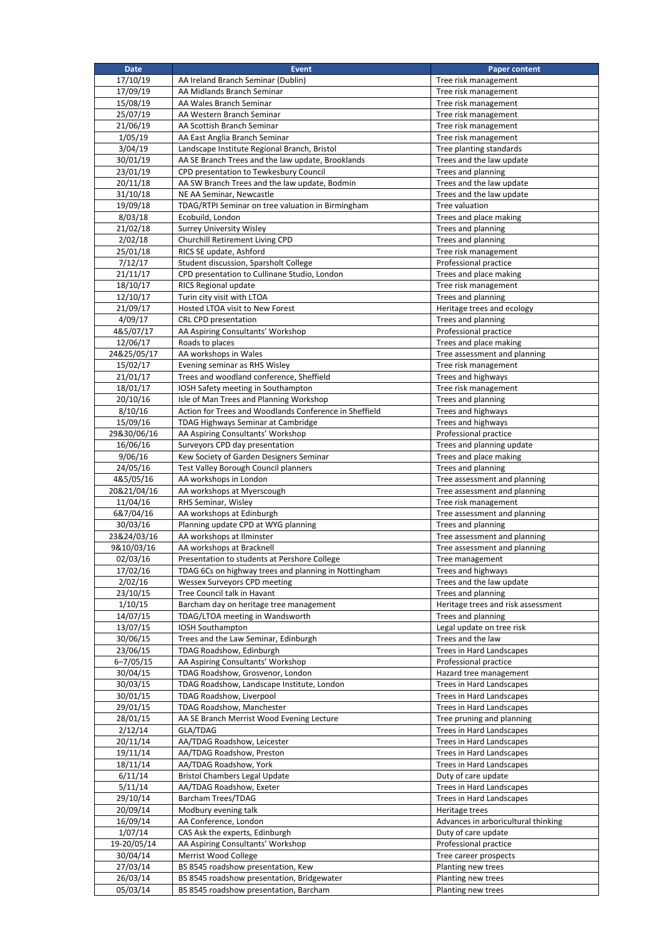| <b>Date</b>               | <b>Event</b>                                                        | <b>Paper content</b>                                  |
|---------------------------|---------------------------------------------------------------------|-------------------------------------------------------|
| 17/10/19                  | AA Ireland Branch Seminar (Dublin)                                  | Tree risk management                                  |
| 17/09/19                  | AA Midlands Branch Seminar                                          | Tree risk management                                  |
| 15/08/19                  | AA Wales Branch Seminar                                             | Tree risk management                                  |
| 25/07/19<br>21/06/19      | AA Western Branch Seminar<br>AA Scottish Branch Seminar             | Tree risk management<br>Tree risk management          |
| 1/05/19                   | AA East Anglia Branch Seminar                                       | Tree risk management                                  |
| 3/04/19                   | Landscape Institute Regional Branch, Bristol                        | Tree planting standards                               |
| 30/01/19                  | AA SE Branch Trees and the law update, Brooklands                   | Trees and the law update                              |
| 23/01/19                  | CPD presentation to Tewkesbury Council                              | Trees and planning                                    |
| 20/11/18                  | AA SW Branch Trees and the law update, Bodmin                       | Trees and the law update                              |
| 31/10/18                  | NE AA Seminar, Newcastle                                            | Trees and the law update                              |
| 19/09/18                  | TDAG/RTPI Seminar on tree valuation in Birmingham                   | Tree valuation                                        |
| 8/03/18                   | Ecobuild, London                                                    | Trees and place making                                |
| 21/02/18<br>2/02/18       | <b>Surrey University Wisley</b><br>Churchill Retirement Living CPD  | Trees and planning<br>Trees and planning              |
| 25/01/18                  | RICS SE update, Ashford                                             | Tree risk management                                  |
| 7/12/17                   | Student discussion, Sparsholt College                               | Professional practice                                 |
| 21/11/17                  | CPD presentation to Cullinane Studio, London                        | Trees and place making                                |
| 18/10/17                  | RICS Regional update                                                | Tree risk management                                  |
| 12/10/17                  | Turin city visit with LTOA                                          | Trees and planning                                    |
| 21/09/17                  | Hosted LTOA visit to New Forest                                     | Heritage trees and ecology                            |
| 4/09/17                   | CRL CPD presentation                                                | Trees and planning                                    |
| 4&5/07/17<br>12/06/17     | AA Aspiring Consultants' Workshop<br>Roads to places                | Professional practice<br>Trees and place making       |
| 24&25/05/17               | AA workshops in Wales                                               | Tree assessment and planning                          |
| 15/02/17                  | Evening seminar as RHS Wisley                                       | Tree risk management                                  |
| 21/01/17                  | Trees and woodland conference, Sheffield                            | Trees and highways                                    |
| 18/01/17                  | IOSH Safety meeting in Southampton                                  | Tree risk management                                  |
| 20/10/16                  | Isle of Man Trees and Planning Workshop                             | Trees and planning                                    |
| 8/10/16                   | Action for Trees and Woodlands Conference in Sheffield              | Trees and highways                                    |
| 15/09/16                  | TDAG Highways Seminar at Cambridge                                  | Trees and highways                                    |
| 29&30/06/16<br>16/06/16   | AA Aspiring Consultants' Workshop<br>Surveyors CPD day presentation | Professional practice<br>Trees and planning update    |
| 9/06/16                   | Kew Society of Garden Designers Seminar                             | Trees and place making                                |
| 24/05/16                  | Test Valley Borough Council planners                                | Trees and planning                                    |
| 4&5/05/16                 | AA workshops in London                                              | Tree assessment and planning                          |
| 20&21/04/16               | AA workshops at Myerscough                                          | Tree assessment and planning                          |
| 11/04/16                  | RHS Seminar, Wisley                                                 | Tree risk management                                  |
| 6&7/04/16                 | AA workshops at Edinburgh                                           | Tree assessment and planning                          |
| 30/03/16                  | Planning update CPD at WYG planning<br>AA workshops at Ilminster    | Trees and planning<br>Tree assessment and planning    |
| 23&24/03/16<br>9&10/03/16 | AA workshops at Bracknell                                           | Tree assessment and planning                          |
| 02/03/16                  | Presentation to students at Pershore College                        | Tree management                                       |
| 17/02/16                  | TDAG 6Cs on highway trees and planning in Nottingham                | Trees and highways                                    |
| 2/02/16                   | Wessex Surveyors CPD meeting                                        | Trees and the law update                              |
| 23/10/15                  | Tree Council talk in Havant                                         | Trees and planning                                    |
| 1/10/15                   | Barcham day on heritage tree management                             | Heritage trees and risk assessment                    |
| 14/07/15                  | TDAG/LTOA meeting in Wandsworth                                     | Trees and planning                                    |
| 13/07/15<br>30/06/15      | IOSH Southampton<br>Trees and the Law Seminar, Edinburgh            | Legal update on tree risk<br>Trees and the law        |
| 23/06/15                  | TDAG Roadshow, Edinburgh                                            | Trees in Hard Landscapes                              |
| $6 - 7/05/15$             | AA Aspiring Consultants' Workshop                                   | Professional practice                                 |
| 30/04/15                  | TDAG Roadshow, Grosvenor, London                                    | Hazard tree management                                |
| 30/03/15                  | TDAG Roadshow, Landscape Institute, London                          | Trees in Hard Landscapes                              |
| 30/01/15                  | TDAG Roadshow, Liverpool                                            | Trees in Hard Landscapes                              |
| 29/01/15                  | TDAG Roadshow, Manchester                                           | Trees in Hard Landscapes                              |
| 28/01/15<br>2/12/14       | AA SE Branch Merrist Wood Evening Lecture<br>GLA/TDAG               | Tree pruning and planning<br>Trees in Hard Landscapes |
| 20/11/14                  | AA/TDAG Roadshow, Leicester                                         | Trees in Hard Landscapes                              |
| 19/11/14                  | AA/TDAG Roadshow, Preston                                           | Trees in Hard Landscapes                              |
| 18/11/14                  | AA/TDAG Roadshow, York                                              | Trees in Hard Landscapes                              |
| 6/11/14                   | <b>Bristol Chambers Legal Update</b>                                | Duty of care update                                   |
| 5/11/14                   | AA/TDAG Roadshow, Exeter                                            | Trees in Hard Landscapes                              |
| 29/10/14                  | Barcham Trees/TDAG                                                  | Trees in Hard Landscapes                              |
| 20/09/14<br>16/09/14      | Modbury evening talk<br>AA Conference, London                       | Heritage trees<br>Advances in arboricultural thinking |
| 1/07/14                   | CAS Ask the experts, Edinburgh                                      | Duty of care update                                   |
| 19-20/05/14               | AA Aspiring Consultants' Workshop                                   | Professional practice                                 |
| 30/04/14                  | Merrist Wood College                                                | Tree career prospects                                 |
| 27/03/14                  | BS 8545 roadshow presentation, Kew                                  | Planting new trees                                    |
| 26/03/14                  | BS 8545 roadshow presentation, Bridgewater                          | Planting new trees                                    |
| 05/03/14                  | BS 8545 roadshow presentation, Barcham                              | Planting new trees                                    |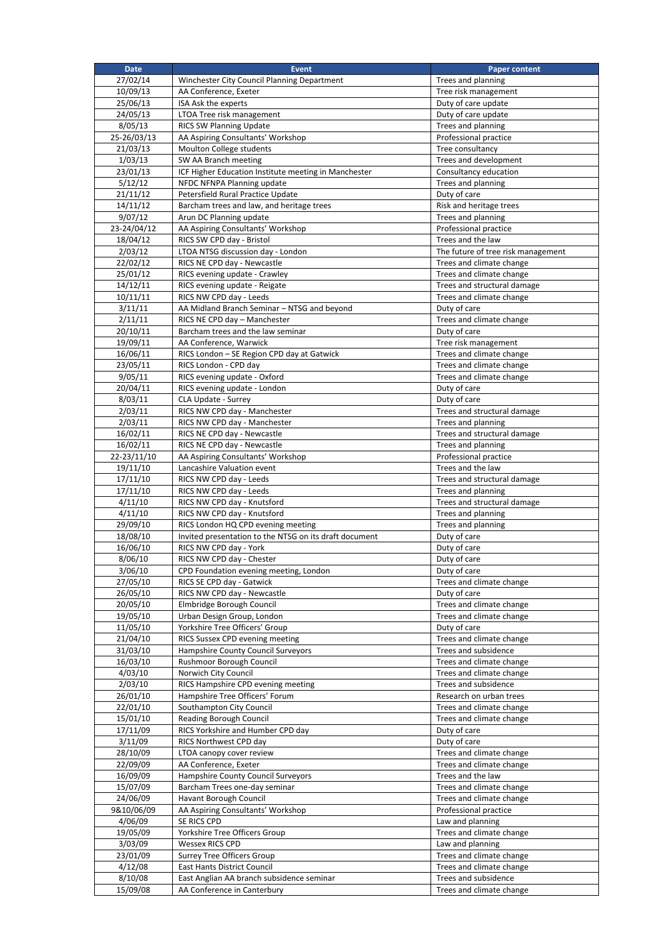| <b>Date</b>            | <b>Event</b>                                                      | <b>Paper content</b>                                 |
|------------------------|-------------------------------------------------------------------|------------------------------------------------------|
| 27/02/14               | Winchester City Council Planning Department                       | Trees and planning                                   |
| 10/09/13               | AA Conference, Exeter                                             | Tree risk management                                 |
| 25/06/13               | ISA Ask the experts                                               | Duty of care update                                  |
| 24/05/13               | LTOA Tree risk management                                         | Duty of care update                                  |
| 8/05/13                | RICS SW Planning Update                                           | Trees and planning                                   |
| 25-26/03/13            | AA Aspiring Consultants' Workshop                                 | Professional practice                                |
| 21/03/13               | Moulton College students                                          | Tree consultancy                                     |
| 1/03/13                | SW AA Branch meeting                                              | Trees and development                                |
| 23/01/13               | ICF Higher Education Institute meeting in Manchester              | Consultancy education                                |
| 5/12/12                | NFDC NFNPA Planning update                                        | Trees and planning                                   |
| 21/11/12               | Petersfield Rural Practice Update                                 | Duty of care                                         |
| 14/11/12               | Barcham trees and law, and heritage trees                         | Risk and heritage trees                              |
| 9/07/12<br>23-24/04/12 | Arun DC Planning update<br>AA Aspiring Consultants' Workshop      | Trees and planning<br>Professional practice          |
| 18/04/12               | RICS SW CPD day - Bristol                                         | Trees and the law                                    |
| 2/03/12                | LTOA NTSG discussion day - London                                 | The future of tree risk management                   |
| 22/02/12               | RICS NE CPD day - Newcastle                                       | Trees and climate change                             |
| 25/01/12               | RICS evening update - Crawley                                     | Trees and climate change                             |
| 14/12/11               | RICS evening update - Reigate                                     | Trees and structural damage                          |
| 10/11/11               | RICS NW CPD day - Leeds                                           | Trees and climate change                             |
| 3/11/11                | AA Midland Branch Seminar - NTSG and beyond                       | Duty of care                                         |
| 2/11/11                | RICS NE CPD day - Manchester                                      | Trees and climate change                             |
| 20/10/11               | Barcham trees and the law seminar                                 | Duty of care                                         |
| 19/09/11               | AA Conference, Warwick                                            | Tree risk management                                 |
| 16/06/11               | RICS London - SE Region CPD day at Gatwick                        | Trees and climate change                             |
| 23/05/11               | RICS London - CPD day                                             | Trees and climate change                             |
| 9/05/11                | RICS evening update - Oxford                                      | Trees and climate change                             |
| 20/04/11               | RICS evening update - London                                      | Duty of care                                         |
| 8/03/11                | CLA Update - Surrey                                               | Duty of care                                         |
| 2/03/11                | RICS NW CPD day - Manchester                                      | Trees and structural damage                          |
| 2/03/11                | RICS NW CPD day - Manchester                                      | Trees and planning                                   |
| 16/02/11               | RICS NE CPD day - Newcastle                                       | Trees and structural damage                          |
| 16/02/11               | RICS NE CPD day - Newcastle                                       | Trees and planning                                   |
| 22-23/11/10            | AA Aspiring Consultants' Workshop                                 | Professional practice                                |
| 19/11/10               | Lancashire Valuation event                                        | Trees and the law                                    |
| 17/11/10               | RICS NW CPD day - Leeds                                           | Trees and structural damage                          |
| 17/11/10               | RICS NW CPD day - Leeds                                           | Trees and planning                                   |
| 4/11/10                | RICS NW CPD day - Knutsford                                       | Trees and structural damage                          |
| 4/11/10<br>29/09/10    | RICS NW CPD day - Knutsford<br>RICS London HQ CPD evening meeting | Trees and planning<br>Trees and planning             |
| 18/08/10               | Invited presentation to the NTSG on its draft document            | Duty of care                                         |
| 16/06/10               | RICS NW CPD day - York                                            | Duty of care                                         |
| 8/06/10                | RICS NW CPD day - Chester                                         | Duty of care                                         |
| 3/06/10                | CPD Foundation evening meeting, London                            | Duty of care                                         |
| 27/05/10               | RICS SE CPD day - Gatwick                                         | Trees and climate change                             |
| 26/05/10               | RICS NW CPD day - Newcastle                                       | Duty of care                                         |
| 20/05/10               | Elmbridge Borough Council                                         | Trees and climate change                             |
| 19/05/10               | Urban Design Group, London                                        | Trees and climate change                             |
| 11/05/10               | Yorkshire Tree Officers' Group                                    | Duty of care                                         |
| 21/04/10               | RICS Sussex CPD evening meeting                                   | Trees and climate change                             |
| 31/03/10               | Hampshire County Council Surveyors                                | Trees and subsidence                                 |
| 16/03/10               | Rushmoor Borough Council                                          | Trees and climate change                             |
| 4/03/10                | Norwich City Council                                              | Trees and climate change                             |
| 2/03/10                | RICS Hampshire CPD evening meeting                                | Trees and subsidence                                 |
| 26/01/10               | Hampshire Tree Officers' Forum                                    | Research on urban trees                              |
| 22/01/10               | Southampton City Council                                          | Trees and climate change                             |
| 15/01/10               | Reading Borough Council                                           | Trees and climate change                             |
| 17/11/09               | RICS Yorkshire and Humber CPD day                                 | Duty of care                                         |
| 3/11/09                | RICS Northwest CPD day                                            | Duty of care                                         |
| 28/10/09               | LTOA canopy cover review                                          | Trees and climate change                             |
| 22/09/09               | AA Conference, Exeter                                             | Trees and climate change                             |
| 16/09/09               | Hampshire County Council Surveyors                                | Trees and the law                                    |
| 15/07/09<br>24/06/09   | Barcham Trees one-day seminar<br>Havant Borough Council           | Trees and climate change<br>Trees and climate change |
| 9&10/06/09             | AA Aspiring Consultants' Workshop                                 | Professional practice                                |
| 4/06/09                | SE RICS CPD                                                       | Law and planning                                     |
| 19/05/09               | Yorkshire Tree Officers Group                                     | Trees and climate change                             |
| 3/03/09                | <b>Wessex RICS CPD</b>                                            | Law and planning                                     |
| 23/01/09               | <b>Surrey Tree Officers Group</b>                                 | Trees and climate change                             |
| 4/12/08                | <b>East Hants District Council</b>                                | Trees and climate change                             |
| 8/10/08                | East Anglian AA branch subsidence seminar                         | Trees and subsidence                                 |
| 15/09/08               | AA Conference in Canterbury                                       | Trees and climate change                             |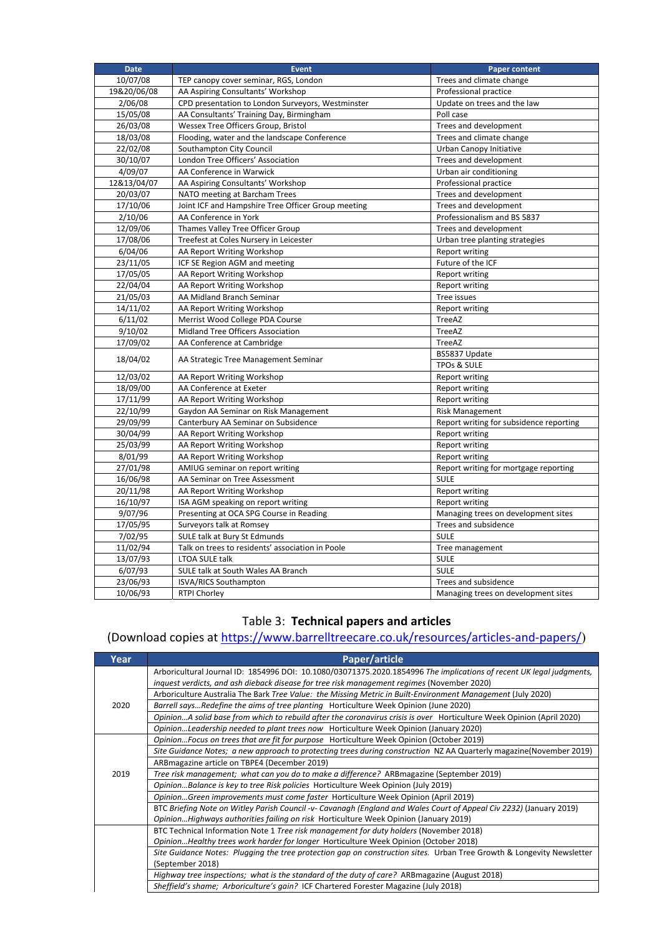| <b>Date</b> | <b>Event</b>                                       | <b>Paper content</b>                    |
|-------------|----------------------------------------------------|-----------------------------------------|
| 10/07/08    | TEP canopy cover seminar, RGS, London              | Trees and climate change                |
| 19&20/06/08 | AA Aspiring Consultants' Workshop                  | Professional practice                   |
| 2/06/08     | CPD presentation to London Surveyors, Westminster  | Update on trees and the law             |
| 15/05/08    | AA Consultants' Training Day, Birmingham           | Poll case                               |
| 26/03/08    | Wessex Tree Officers Group, Bristol                | Trees and development                   |
| 18/03/08    | Flooding, water and the landscape Conference       | Trees and climate change                |
| 22/02/08    | Southampton City Council                           | Urban Canopy Initiative                 |
| 30/10/07    | London Tree Officers' Association                  | Trees and development                   |
| 4/09/07     | AA Conference in Warwick                           | Urban air conditioning                  |
| 12&13/04/07 | AA Aspiring Consultants' Workshop                  | Professional practice                   |
| 20/03/07    | NATO meeting at Barcham Trees                      | Trees and development                   |
| 17/10/06    | Joint ICF and Hampshire Tree Officer Group meeting | Trees and development                   |
| 2/10/06     | AA Conference in York                              | Professionalism and BS 5837             |
| 12/09/06    | Thames Valley Tree Officer Group                   | Trees and development                   |
| 17/08/06    | Treefest at Coles Nursery in Leicester             | Urban tree planting strategies          |
| 6/04/06     | AA Report Writing Workshop                         | <b>Report writing</b>                   |
| 23/11/05    | ICF SE Region AGM and meeting                      | Future of the ICF                       |
| 17/05/05    | AA Report Writing Workshop                         | <b>Report writing</b>                   |
| 22/04/04    | AA Report Writing Workshop                         | <b>Report writing</b>                   |
| 21/05/03    | AA Midland Branch Seminar                          | Tree issues                             |
| 14/11/02    | AA Report Writing Workshop                         | Report writing                          |
| 6/11/02     | Merrist Wood College PDA Course                    | TreeAZ                                  |
| 9/10/02     | Midland Tree Officers Association                  | TreeAZ                                  |
| 17/09/02    | AA Conference at Cambridge                         | TreeAZ                                  |
|             |                                                    | BS5837 Update                           |
| 18/04/02    | AA Strategic Tree Management Seminar               | <b>TPOs &amp; SULE</b>                  |
| 12/03/02    | AA Report Writing Workshop                         | Report writing                          |
| 18/09/00    | AA Conference at Exeter                            | <b>Report writing</b>                   |
| 17/11/99    | AA Report Writing Workshop                         | <b>Report writing</b>                   |
| 22/10/99    | Gaydon AA Seminar on Risk Management               | <b>Risk Management</b>                  |
| 29/09/99    | Canterbury AA Seminar on Subsidence                | Report writing for subsidence reporting |
| 30/04/99    | AA Report Writing Workshop                         | <b>Report writing</b>                   |
| 25/03/99    | AA Report Writing Workshop                         | Report writing                          |
| 8/01/99     | AA Report Writing Workshop                         | Report writing                          |
| 27/01/98    | AMIUG seminar on report writing                    | Report writing for mortgage reporting   |
| 16/06/98    | AA Seminar on Tree Assessment                      | <b>SULE</b>                             |
| 20/11/98    | AA Report Writing Workshop                         | <b>Report writing</b>                   |
| 16/10/97    | ISA AGM speaking on report writing                 | <b>Report writing</b>                   |
| 9/07/96     | Presenting at OCA SPG Course in Reading            | Managing trees on development sites     |
| 17/05/95    | Surveyors talk at Romsey                           | Trees and subsidence                    |
| 7/02/95     | SULE talk at Bury St Edmunds                       | <b>SULE</b>                             |
| 11/02/94    | Talk on trees to residents' association in Poole   | Tree management                         |
| 13/07/93    | <b>LTOA SULE talk</b>                              | <b>SULE</b>                             |
| 6/07/93     | SULE talk at South Wales AA Branch                 | <b>SULE</b>                             |
| 23/06/93    | <b>ISVA/RICS Southampton</b>                       | Trees and subsidence                    |
| 10/06/93    | <b>RTPI Chorley</b>                                | Managing trees on development sites     |

## Table 3: **Technical papers and articles**

# (Download copies at https://www.barrelltreecare.co.uk/resources/articles‐and‐papers/)

| Year                                                                                  | Paper/article                                                                                                         |
|---------------------------------------------------------------------------------------|-----------------------------------------------------------------------------------------------------------------------|
|                                                                                       | Arboricultural Journal ID: 1854996 DOI: 10.1080/03071375.2020.1854996 The implications of recent UK legal judgments,  |
|                                                                                       | inguest verdicts, and ash dieback disease for tree risk management regimes (November 2020)                            |
|                                                                                       | Arboriculture Australia The Bark Tree Value: the Missing Metric in Built-Environment Management (July 2020)           |
| 2020                                                                                  | Barrell saysRedefine the aims of tree planting Horticulture Week Opinion (June 2020)                                  |
|                                                                                       | OpinionA solid base from which to rebuild after the coronavirus crisis is over Horticulture Week Opinion (April 2020) |
|                                                                                       | OpinionLeadership needed to plant trees now Horticulture Week Opinion (January 2020)                                  |
|                                                                                       | Opinion Focus on trees that are fit for purpose Horticulture Week Opinion (October 2019)                              |
|                                                                                       | Site Guidance Notes; a new approach to protecting trees during construction NZ AA Quarterly magazine(November 2019)   |
|                                                                                       | ARB magazine article on TBPE4 (December 2019)                                                                         |
| 2019                                                                                  | Tree risk management; what can you do to make a difference? ARBmagazine (September 2019)                              |
|                                                                                       | OpinionBalance is key to tree Risk policies Horticulture Week Opinion (July 2019)                                     |
|                                                                                       | OpinionGreen improvements must come faster Horticulture Week Opinion (April 2019)                                     |
|                                                                                       | BTC Briefing Note on Witley Parish Council -v- Cavanagh (England and Wales Court of Appeal Civ 2232) (January 2019)   |
|                                                                                       | OpinionHighways authorities failing on risk Horticulture Week Opinion (January 2019)                                  |
|                                                                                       | BTC Technical Information Note 1 Tree risk management for duty holders (November 2018)                                |
| Opinion Healthy trees work harder for longer Horticulture Week Opinion (October 2018) |                                                                                                                       |
|                                                                                       | Site Guidance Notes: Plugging the tree protection gap on construction sites. Urban Tree Growth & Longevity Newsletter |
|                                                                                       | (September 2018)                                                                                                      |
|                                                                                       | Highway tree inspections; what is the standard of the duty of care? ARBmagazine (August 2018)                         |
|                                                                                       | Sheffield's shame; Arboriculture's gain? ICF Chartered Forester Magazine (July 2018)                                  |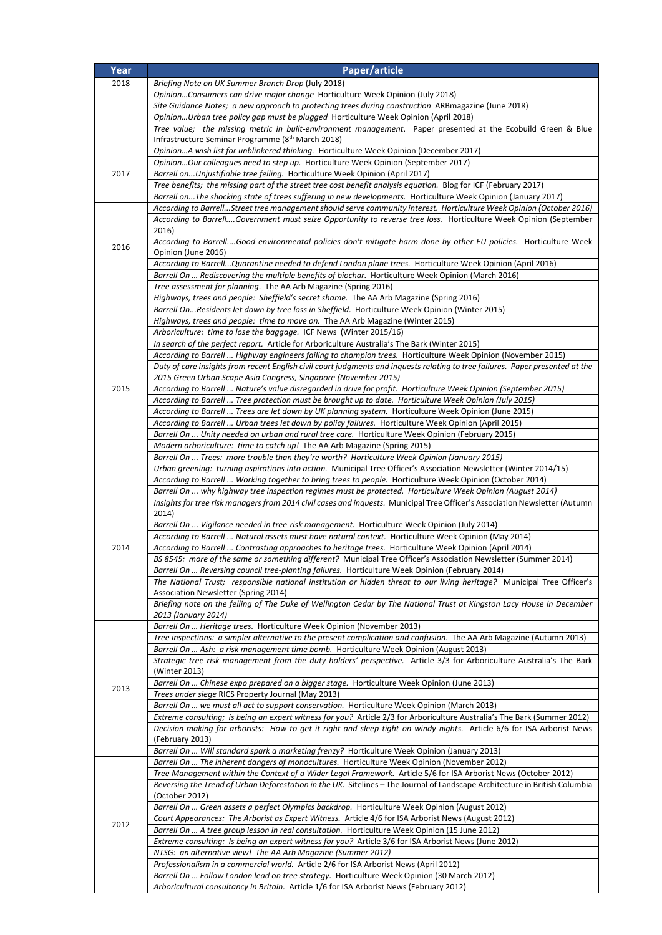| Year | Paper/article                                                                                                                                                                                                                                  |
|------|------------------------------------------------------------------------------------------------------------------------------------------------------------------------------------------------------------------------------------------------|
| 2018 | Briefing Note on UK Summer Branch Drop (July 2018)                                                                                                                                                                                             |
|      | OpinionConsumers can drive major change Horticulture Week Opinion (July 2018)                                                                                                                                                                  |
|      | Site Guidance Notes; a new approach to protecting trees during construction ARBmagazine (June 2018)                                                                                                                                            |
|      | OpinionUrban tree policy gap must be plugged Horticulture Week Opinion (April 2018)                                                                                                                                                            |
|      | Tree value; the missing metric in built-environment management. Paper presented at the Ecobuild Green & Blue                                                                                                                                   |
|      | Infrastructure Seminar Programme (8 <sup>th</sup> March 2018)<br>OpinionA wish list for unblinkered thinking. Horticulture Week Opinion (December 2017)                                                                                        |
|      | OpinionOur colleagues need to step up. Horticulture Week Opinion (September 2017)                                                                                                                                                              |
| 2017 | Barrell onUnjustifiable tree felling. Horticulture Week Opinion (April 2017)                                                                                                                                                                   |
|      | Tree benefits; the missing part of the street tree cost benefit analysis equation. Blog for ICF (February 2017)                                                                                                                                |
|      | Barrell onThe shocking state of trees suffering in new developments. Horticulture Week Opinion (January 2017)                                                                                                                                  |
|      | According to BarrellStreet tree management should serve community interest. Horticulture Week Opinion (October 2016)                                                                                                                           |
|      | According to BarrellGovernment must seize Opportunity to reverse tree loss. Horticulture Week Opinion (September<br>2016)                                                                                                                      |
|      | According to BarrellGood environmental policies don't mitigate harm done by other EU policies. Horticulture Week                                                                                                                               |
| 2016 | Opinion (June 2016)                                                                                                                                                                                                                            |
|      | According to BarrellQuarantine needed to defend London plane trees. Horticulture Week Opinion (April 2016)                                                                                                                                     |
|      | Barrell On  Rediscovering the multiple benefits of biochar. Horticulture Week Opinion (March 2016)                                                                                                                                             |
|      | Tree assessment for planning. The AA Arb Magazine (Spring 2016)                                                                                                                                                                                |
|      | Highways, trees and people: Sheffield's secret shame. The AA Arb Magazine (Spring 2016)<br>Barrell OnResidents let down by tree loss in Sheffield. Horticulture Week Opinion (Winter 2015)                                                     |
|      | Highways, trees and people: time to move on. The AA Arb Magazine (Winter 2015)                                                                                                                                                                 |
|      | Arboriculture: time to lose the baggage. ICF News (Winter 2015/16)                                                                                                                                                                             |
|      | In search of the perfect report. Article for Arboriculture Australia's The Bark (Winter 2015)                                                                                                                                                  |
|      | According to Barrell  Highway engineers failing to champion trees. Horticulture Week Opinion (November 2015)                                                                                                                                   |
|      | Duty of care insights from recent English civil court judgments and inquests relating to tree failures. Paper presented at the                                                                                                                 |
| 2015 | 2015 Green Urban Scape Asia Congress, Singapore (November 2015)                                                                                                                                                                                |
|      | According to Barrell  Nature's value disregarded in drive for profit. Horticulture Week Opinion (September 2015)<br>(July 2015) According to Barrell  Tree protection must be brought up to date. Horticulture Week Opinion                    |
|      | According to Barrell  Trees are let down by UK planning system. Horticulture Week Opinion (June 2015)                                                                                                                                          |
|      | According to Barrell  Urban trees let down by policy failures. Horticulture Week Opinion (April 2015)                                                                                                                                          |
|      | Barrell On  Unity needed on urban and rural tree care. Horticulture Week Opinion (February 2015)                                                                                                                                               |
|      | <i>Modern arboriculture: time to catch up!</i> The AA Arb Magazine (Spring 2015)                                                                                                                                                               |
|      | Barrell On  Trees: more trouble than they're worth? Horticulture Week Opinion (January 2015)                                                                                                                                                   |
|      | Urban greening: turning aspirations into action. Municipal Tree Officer's Association Newsletter (Winter 2014/15)<br>According to Barrell  Working together to bring trees to people. Horticulture Week Opinion (October 2014)                 |
|      | Barrell On  why highway tree inspection regimes must be protected. Horticulture Week Opinion (August 2014)                                                                                                                                     |
|      | Insights for tree risk managers from 2014 civil cases and inquests. Municipal Tree Officer's Association Newsletter (Autumn                                                                                                                    |
|      | 2014)                                                                                                                                                                                                                                          |
|      | Barrell On  Vigilance needed in tree-risk management. Horticulture Week Opinion (July 2014)                                                                                                                                                    |
|      | According to Barrell  Natural assets must have natural context. Horticulture Week Opinion (May 2014)                                                                                                                                           |
| 2014 | According to Barrell  Contrasting approaches to heritage trees. Horticulture Week Opinion (April 2014)<br>BS 8545: more of the same or something different? Municipal Tree Officer's Association Newsletter (Summer 2014)                      |
|      | Barrell On  Reversing council tree-planting failures. Horticulture Week Opinion (February 2014)                                                                                                                                                |
|      | The National Trust; responsible national institution or hidden threat to our living heritage? Municipal Tree Officer's                                                                                                                         |
|      | Association Newsletter (Spring 2014)                                                                                                                                                                                                           |
|      | Briefing note on the felling of The Duke of Wellington Cedar by The National Trust at Kingston Lacy House in December                                                                                                                          |
|      | 2013 (January 2014)                                                                                                                                                                                                                            |
|      | Barrell On  Heritage trees. Horticulture Week Opinion (November 2013)<br>Tree inspections: a simpler alternative to the present complication and confusion. The AA Arb Magazine (Autumn 2013)                                                  |
|      | Barrell On  Ash: a risk management time bomb. Horticulture Week Opinion (August 2013)                                                                                                                                                          |
|      | Strategic tree risk management from the duty holders' perspective. Article 3/3 for Arboriculture Australia's The Bark                                                                                                                          |
|      | (Winter 2013)                                                                                                                                                                                                                                  |
| 2013 | Barrell On  Chinese expo prepared on a bigger stage. Horticulture Week Opinion (June 2013)                                                                                                                                                     |
|      | Trees under siege RICS Property Journal (May 2013)<br>Barrell On  we must all act to support conservation. Horticulture Week Opinion (March 2013)                                                                                              |
|      | Extreme consulting; is being an expert witness for you? Article 2/3 for Arboriculture Australia's The Bark (Summer 2012)                                                                                                                       |
|      | Decision-making for arborists: How to get it right and sleep tight on windy nights. Article 6/6 for ISA Arborist News                                                                                                                          |
|      | (February 2013)                                                                                                                                                                                                                                |
|      | Barrell On  Will standard spark a marketing frenzy? Horticulture Week Opinion (January 2013)                                                                                                                                                   |
|      | Barrell On  The inherent dangers of monocultures. Horticulture Week Opinion (November 2012)                                                                                                                                                    |
|      | Tree Management within the Context of a Wider Legal Framework. Article 5/6 for ISA Arborist News (October 2012)<br>Reversing the Trend of Urban Deforestation in the UK. Sitelines - The Journal of Landscape Architecture in British Columbia |
|      | (October 2012)                                                                                                                                                                                                                                 |
|      | Barrell On  Green assets a perfect Olympics backdrop. Horticulture Week Opinion (August 2012)                                                                                                                                                  |
| 2012 | Court Appearances: The Arborist as Expert Witness. Article 4/6 for ISA Arborist News (August 2012)                                                                                                                                             |
|      | Barrell On  A tree group lesson in real consultation. Horticulture Week Opinion (15 June 2012)                                                                                                                                                 |
|      | Extreme consulting: Is being an expert witness for you? Article 3/6 for ISA Arborist News (June 2012)                                                                                                                                          |
|      | NTSG: an alternative view! The AA Arb Magazine (Summer 2012)<br>Professionalism in a commercial world. Article 2/6 for ISA Arborist News (April 2012)                                                                                          |
|      | Barrell On  Follow London lead on tree strategy. Horticulture Week Opinion (30 March 2012)                                                                                                                                                     |
|      | Arboricultural consultancy in Britain. Article 1/6 for ISA Arborist News (February 2012)                                                                                                                                                       |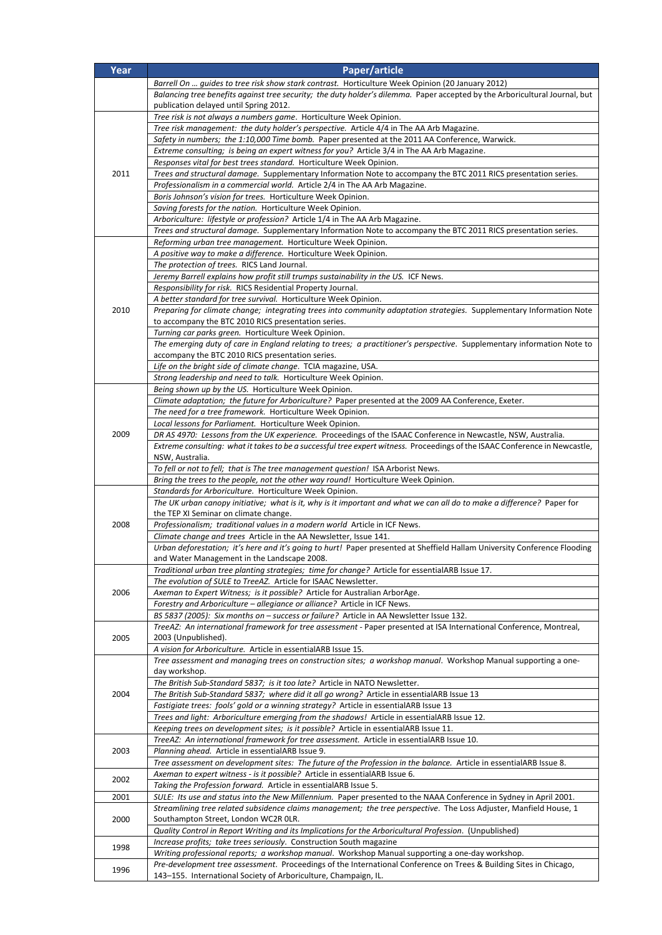| Year | Paper/article                                                                                                                                                                  |
|------|--------------------------------------------------------------------------------------------------------------------------------------------------------------------------------|
|      | Barrell On  guides to tree risk show stark contrast. Horticulture Week Opinion (20 January 2012)                                                                               |
|      | Balancing tree benefits against tree security; the duty holder's dilemma. Paper accepted by the Arboricultural Journal, but                                                    |
|      | publication delayed until Spring 2012.<br>Tree risk is not always a numbers game. Horticulture Week Opinion.                                                                   |
|      | Tree risk management: the duty holder's perspective. Article 4/4 in The AA Arb Magazine.                                                                                       |
|      | Safety in numbers; the 1:10,000 Time bomb. Paper presented at the 2011 AA Conference, Warwick.                                                                                 |
|      | Extreme consulting; is being an expert witness for you? Article 3/4 in The AA Arb Magazine.                                                                                    |
|      | Responses vital for best trees standard. Horticulture Week Opinion.                                                                                                            |
| 2011 | Trees and structural damage. Supplementary Information Note to accompany the BTC 2011 RICS presentation series.                                                                |
|      | Professionalism in a commercial world. Article 2/4 in The AA Arb Magazine.<br>Boris Johnson's vision for trees. Horticulture Week Opinion.                                     |
|      | Saving forests for the nation. Horticulture Week Opinion.                                                                                                                      |
|      | Arboriculture: lifestyle or profession? Article 1/4 in The AA Arb Magazine.                                                                                                    |
|      | Trees and structural damage. Supplementary Information Note to accompany the BTC 2011 RICS presentation series.                                                                |
|      | Reforming urban tree management. Horticulture Week Opinion.                                                                                                                    |
|      | A positive way to make a difference. Horticulture Week Opinion.                                                                                                                |
|      | The protection of trees. RICS Land Journal.<br>Jeremy Barrell explains how profit still trumps sustainability in the US. ICF News.                                             |
|      | Responsibility for risk. RICS Residential Property Journal.                                                                                                                    |
|      | A better standard for tree survival. Horticulture Week Opinion.                                                                                                                |
| 2010 | Preparing for climate change; integrating trees into community adaptation strategies. Supplementary Information Note                                                           |
|      | to accompany the BTC 2010 RICS presentation series.                                                                                                                            |
|      | Turning car parks green. Horticulture Week Opinion.<br>The emerging duty of care in England relating to trees; a practitioner's perspective. Supplementary information Note to |
|      | accompany the BTC 2010 RICS presentation series.                                                                                                                               |
|      | Life on the bright side of climate change. TCIA magazine, USA.                                                                                                                 |
|      | Strong leadership and need to talk. Horticulture Week Opinion.                                                                                                                 |
|      | Being shown up by the US. Horticulture Week Opinion.                                                                                                                           |
|      | Climate adaptation; the future for Arboriculture? Paper presented at the 2009 AA Conference, Exeter.<br>The need for a tree framework. Horticulture Week Opinion.              |
|      | Local lessons for Parliament. Horticulture Week Opinion.                                                                                                                       |
| 2009 | DR AS 4970: Lessons from the UK experience. Proceedings of the ISAAC Conference in Newcastle, NSW, Australia.                                                                  |
|      | Extreme consulting: what it takes to be a successful tree expert witness. Proceedings of the ISAAC Conference in Newcastle,                                                    |
|      | NSW, Australia.<br>To fell or not to fell; that is The tree management question! ISA Arborist News.                                                                            |
|      | Bring the trees to the people, not the other way round! Horticulture Week Opinion.                                                                                             |
|      | Standards for Arboriculture. Horticulture Week Opinion.                                                                                                                        |
|      | The UK urban canopy initiative; what is it, why is it important and what we can all do to make a difference? Paper for                                                         |
| 2008 | the TEP XI Seminar on climate change.<br>Professionalism; traditional values in a modern world Article in ICF News.                                                            |
|      | Climate change and trees Article in the AA Newsletter, Issue 141.                                                                                                              |
|      | Urban deforestation; it's here and it's going to hurt! Paper presented at Sheffield Hallam University Conference Flooding                                                      |
|      | and Water Management in the Landscape 2008.                                                                                                                                    |
|      | Traditional urban tree planting strategies; time for change? Article for essentialARB Issue 17.<br>The evolution of SULE to TreeAZ. Article for ISAAC Newsletter.              |
| 2006 | Axeman to Expert Witness; is it possible? Article for Australian ArborAge.                                                                                                     |
|      | Forestry and Arboriculture - allegiance or alliance? Article in ICF News.                                                                                                      |
|      | BS 5837 (2005): Six months on - success or failure? Article in AA Newsletter Issue 132.                                                                                        |
| 2005 | TreeAZ: An international framework for tree assessment - Paper presented at ISA International Conference, Montreal,<br>2003 (Unpublished).                                     |
|      | A vision for Arboriculture. Article in essentialARB Issue 15.                                                                                                                  |
|      | Tree assessment and managing trees on construction sites; a workshop manual. Workshop Manual supporting a one-                                                                 |
|      | day workshop.                                                                                                                                                                  |
| 2004 | The British Sub-Standard 5837; is it too late? Article in NATO Newsletter.<br>The British Sub-Standard 5837; where did it all go wrong? Article in essentialARB Issue 13       |
|      | Fastigiate trees: fools' gold or a winning strategy? Article in essentialARB Issue 13                                                                                          |
|      | Trees and light: Arboriculture emerging from the shadows! Article in essentialARB Issue 12.                                                                                    |
|      | Keeping trees on development sites; is it possible? Article in essentialARB Issue 11.                                                                                          |
|      | TreeAZ: An international framework for tree assessment. Article in essentialARB Issue 10.                                                                                      |
| 2003 | Planning ahead. Article in essentialARB Issue 9.<br>Tree assessment on development sites: The future of the Profession in the balance. Article in essentialARB Issue 8.        |
|      | Axeman to expert witness - is it possible? Article in essentialARB Issue 6.                                                                                                    |
| 2002 | Taking the Profession forward. Article in essentialARB Issue 5.                                                                                                                |
| 2001 | SULE: Its use and status into the New Millennium. Paper presented to the NAAA Conference in Sydney in April 2001.                                                              |
|      | Streamlining tree related subsidence claims management; the tree perspective. The Loss Adjuster, Manfield House, 1                                                             |
| 2000 | Southampton Street, London WC2R OLR.<br>Quality Control in Report Writing and its Implications for the Arboricultural Profession. (Unpublished)                                |
|      | Increase profits; take trees seriously. Construction South magazine                                                                                                            |
| 1998 | Writing professional reports; a workshop manual. Workshop Manual supporting a one-day workshop.                                                                                |
| 1996 | Pre-development tree assessment. Proceedings of the International Conference on Trees & Building Sites in Chicago,                                                             |
|      | 143-155. International Society of Arboriculture, Champaign, IL.                                                                                                                |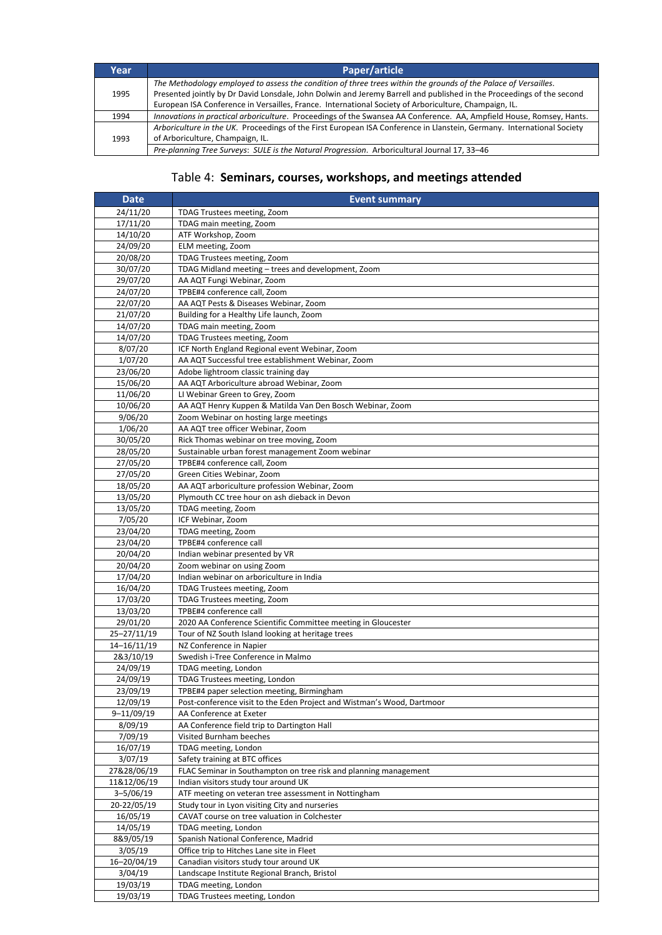| Year | Paper/article                                                                                                                                                                                                                            |
|------|------------------------------------------------------------------------------------------------------------------------------------------------------------------------------------------------------------------------------------------|
| 1995 | The Methodology employed to assess the condition of three trees within the grounds of the Palace of Versailles.<br>Presented jointly by Dr David Lonsdale, John Dolwin and Jeremy Barrell and published in the Proceedings of the second |
|      | European ISA Conference in Versailles, France. International Society of Arboriculture, Champaign, IL.                                                                                                                                    |
| 1994 | Innovations in practical arboriculture. Proceedings of the Swansea AA Conference. AA, Ampfield House, Romsey, Hants.                                                                                                                     |
| 1993 | Arboriculture in the UK. Proceedings of the First European ISA Conference in Llanstein, Germany. International Society<br>of Arboriculture, Champaign, IL.                                                                               |
|      | Pre-planning Tree Surveys: SULE is the Natural Progression. Arboricultural Journal 17, 33-46                                                                                                                                             |

#### Table 4: **Seminars, courses, workshops, and meetings attended**

| <b>Date</b>           | <b>Event summary</b>                                                                       |
|-----------------------|--------------------------------------------------------------------------------------------|
| 24/11/20              | TDAG Trustees meeting, Zoom                                                                |
| 17/11/20              | TDAG main meeting, Zoom                                                                    |
| 14/10/20              | ATF Workshop, Zoom                                                                         |
| 24/09/20              | ELM meeting, Zoom                                                                          |
| 20/08/20              | TDAG Trustees meeting, Zoom                                                                |
| 30/07/20              | TDAG Midland meeting - trees and development, Zoom                                         |
| 29/07/20              | AA AQT Fungi Webinar, Zoom                                                                 |
| 24/07/20              | TPBE#4 conference call, Zoom                                                               |
| 22/07/20              | AA AQT Pests & Diseases Webinar, Zoom                                                      |
| 21/07/20              | Building for a Healthy Life launch, Zoom                                                   |
| 14/07/20              | TDAG main meeting, Zoom                                                                    |
| 14/07/20              | TDAG Trustees meeting, Zoom                                                                |
| 8/07/20               | ICF North England Regional event Webinar, Zoom                                             |
| 1/07/20<br>23/06/20   | AA AQT Successful tree establishment Webinar, Zoom<br>Adobe lightroom classic training day |
| 15/06/20              | AA AQT Arboriculture abroad Webinar, Zoom                                                  |
| 11/06/20              | LI Webinar Green to Grey, Zoom                                                             |
| 10/06/20              | AA AQT Henry Kuppen & Matilda Van Den Bosch Webinar, Zoom                                  |
| 9/06/20               | Zoom Webinar on hosting large meetings                                                     |
| 1/06/20               | AA AQT tree officer Webinar, Zoom                                                          |
| 30/05/20              | Rick Thomas webinar on tree moving, Zoom                                                   |
| 28/05/20              | Sustainable urban forest management Zoom webinar                                           |
| 27/05/20              | TPBE#4 conference call, Zoom                                                               |
| 27/05/20              | Green Cities Webinar, Zoom                                                                 |
| 18/05/20              | AA AQT arboriculture profession Webinar, Zoom                                              |
| 13/05/20              | Plymouth CC tree hour on ash dieback in Devon                                              |
| 13/05/20              | TDAG meeting, Zoom                                                                         |
| 7/05/20               | ICF Webinar, Zoom                                                                          |
| 23/04/20              | TDAG meeting, Zoom                                                                         |
| 23/04/20              | TPBE#4 conference call                                                                     |
| 20/04/20<br>20/04/20  | Indian webinar presented by VR<br>Zoom webinar on using Zoom                               |
| 17/04/20              | Indian webinar on arboriculture in India                                                   |
| 16/04/20              | TDAG Trustees meeting, Zoom                                                                |
| 17/03/20              | TDAG Trustees meeting, Zoom                                                                |
| 13/03/20              | TPBE#4 conference call                                                                     |
| 29/01/20              | 2020 AA Conference Scientific Committee meeting in Gloucester                              |
| 25-27/11/19           | Tour of NZ South Island looking at heritage trees                                          |
| 14-16/11/19           | NZ Conference in Napier                                                                    |
| 2&3/10/19             | Swedish i-Tree Conference in Malmo                                                         |
| 24/09/19              | TDAG meeting, London                                                                       |
| 24/09/19              | TDAG Trustees meeting, London                                                              |
| 23/09/19              | TPBE#4 paper selection meeting, Birmingham                                                 |
| 12/09/19              | Post-conference visit to the Eden Project and Wistman's Wood, Dartmoor                     |
| 9-11/09/19<br>8/09/19 | AA Conference at Exeter<br>AA Conference field trip to Dartington Hall                     |
| 7/09/19               | Visited Burnham beeches                                                                    |
| 16/07/19              | TDAG meeting, London                                                                       |
| 3/07/19               | Safety training at BTC offices                                                             |
| 27&28/06/19           | FLAC Seminar in Southampton on tree risk and planning management                           |
| 11&12/06/19           | Indian visitors study tour around UK                                                       |
| $3 - 5/06/19$         | ATF meeting on veteran tree assessment in Nottingham                                       |
| 20-22/05/19           | Study tour in Lyon visiting City and nurseries                                             |
| 16/05/19              | CAVAT course on tree valuation in Colchester                                               |
| 14/05/19              | TDAG meeting, London                                                                       |
| 8&9/05/19             | Spanish National Conference, Madrid                                                        |
| 3/05/19               | Office trip to Hitches Lane site in Fleet                                                  |
| 16-20/04/19           | Canadian visitors study tour around UK                                                     |
| 3/04/19               | Landscape Institute Regional Branch, Bristol                                               |
| 19/03/19              | TDAG meeting, London                                                                       |
| 19/03/19              | TDAG Trustees meeting, London                                                              |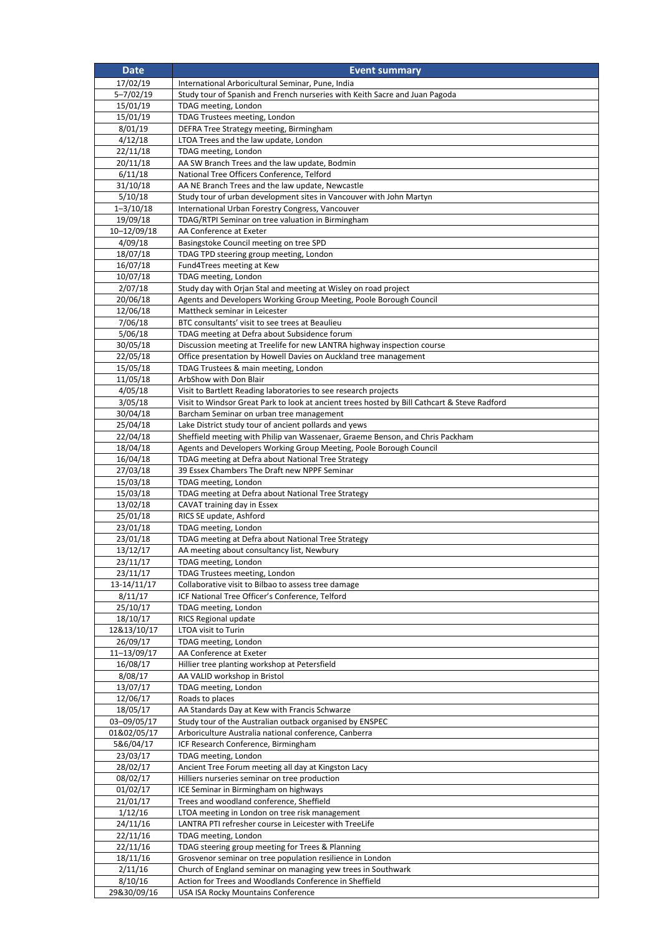| <b>Date</b>             | <b>Event summary</b>                                                                                          |
|-------------------------|---------------------------------------------------------------------------------------------------------------|
| 17/02/19                | International Arboricultural Seminar, Pune, India                                                             |
| $5 - 7/02/19$           | Study tour of Spanish and French nurseries with Keith Sacre and Juan Pagoda                                   |
| 15/01/19                | TDAG meeting, London                                                                                          |
| 15/01/19                | TDAG Trustees meeting, London                                                                                 |
| 8/01/19                 | DEFRA Tree Strategy meeting, Birmingham<br>LTOA Trees and the law update, London                              |
| 4/12/18<br>22/11/18     | TDAG meeting, London                                                                                          |
| 20/11/18                | AA SW Branch Trees and the law update, Bodmin                                                                 |
| 6/11/18                 | National Tree Officers Conference, Telford                                                                    |
| 31/10/18                | AA NE Branch Trees and the law update, Newcastle                                                              |
| 5/10/18                 | Study tour of urban development sites in Vancouver with John Martyn                                           |
| $1 - 3/10/18$           | International Urban Forestry Congress, Vancouver                                                              |
| 19/09/18                | TDAG/RTPI Seminar on tree valuation in Birmingham                                                             |
| 10-12/09/18<br>4/09/18  | AA Conference at Exeter<br>Basingstoke Council meeting on tree SPD                                            |
| 18/07/18                | TDAG TPD steering group meeting, London                                                                       |
| 16/07/18                | Fund4Trees meeting at Kew                                                                                     |
| 10/07/18                | TDAG meeting, London                                                                                          |
| 2/07/18                 | Study day with Orjan Stal and meeting at Wisley on road project                                               |
| 20/06/18                | Agents and Developers Working Group Meeting, Poole Borough Council                                            |
| 12/06/18                | Mattheck seminar in Leicester                                                                                 |
| 7/06/18<br>5/06/18      | BTC consultants' visit to see trees at Beaulieu<br>TDAG meeting at Defra about Subsidence forum               |
| 30/05/18                | Discussion meeting at Treelife for new LANTRA highway inspection course                                       |
| 22/05/18                | Office presentation by Howell Davies on Auckland tree management                                              |
| 15/05/18                | TDAG Trustees & main meeting, London                                                                          |
| 11/05/18                | ArbShow with Don Blair                                                                                        |
| 4/05/18                 | Visit to Bartlett Reading laboratories to see research projects                                               |
| 3/05/18                 | Visit to Windsor Great Park to look at ancient trees hosted by Bill Cathcart & Steve Radford                  |
| 30/04/18<br>25/04/18    | Barcham Seminar on urban tree management<br>Lake District study tour of ancient pollards and yews             |
| 22/04/18                | Sheffield meeting with Philip van Wassenaer, Graeme Benson, and Chris Packham                                 |
| 18/04/18                | Agents and Developers Working Group Meeting, Poole Borough Council                                            |
| 16/04/18                | TDAG meeting at Defra about National Tree Strategy                                                            |
| 27/03/18                | 39 Essex Chambers The Draft new NPPF Seminar                                                                  |
| 15/03/18                | TDAG meeting, London                                                                                          |
| 15/03/18<br>13/02/18    | TDAG meeting at Defra about National Tree Strategy<br>CAVAT training day in Essex                             |
| 25/01/18                | RICS SE update, Ashford                                                                                       |
| 23/01/18                | TDAG meeting, London                                                                                          |
| 23/01/18                | TDAG meeting at Defra about National Tree Strategy                                                            |
| 13/12/17                | AA meeting about consultancy list, Newbury                                                                    |
| 23/11/17                | TDAG meeting, London                                                                                          |
| 23/11/17<br>13-14/11/17 | TDAG Trustees meeting, London<br>Collaborative visit to Bilbao to assess tree damage                          |
| 8/11/17                 | ICF National Tree Officer's Conference, Telford                                                               |
| 25/10/17                | TDAG meeting, London                                                                                          |
| 18/10/17                | <b>RICS Regional update</b>                                                                                   |
| 12&13/10/17             | LTOA visit to Turin                                                                                           |
| 26/09/17                | TDAG meeting, London                                                                                          |
| 11-13/09/17             | AA Conference at Exeter                                                                                       |
| 16/08/17<br>8/08/17     | Hillier tree planting workshop at Petersfield<br>AA VALID workshop in Bristol                                 |
| 13/07/17                | TDAG meeting, London                                                                                          |
| 12/06/17                | Roads to places                                                                                               |
| 18/05/17                | AA Standards Day at Kew with Francis Schwarze                                                                 |
| 03-09/05/17             | Study tour of the Australian outback organised by ENSPEC                                                      |
| 01&02/05/17             | Arboriculture Australia national conference, Canberra                                                         |
| 5&6/04/17               | ICF Research Conference, Birmingham                                                                           |
| 23/03/17<br>28/02/17    | TDAG meeting, London<br>Ancient Tree Forum meeting all day at Kingston Lacy                                   |
| 08/02/17                | Hilliers nurseries seminar on tree production                                                                 |
| 01/02/17                | ICE Seminar in Birmingham on highways                                                                         |
| 21/01/17                | Trees and woodland conference, Sheffield                                                                      |
| 1/12/16                 | LTOA meeting in London on tree risk management                                                                |
| $\frac{1}{24}/11/16$    | LANTRA PTI refresher course in Leicester with TreeLife                                                        |
| 22/11/16                | TDAG meeting, London                                                                                          |
| 22/11/16<br>18/11/16    | TDAG steering group meeting for Trees & Planning<br>Grosvenor seminar on tree population resilience in London |
| 2/11/16                 | Church of England seminar on managing yew trees in Southwark                                                  |
| 8/10/16                 | Action for Trees and Woodlands Conference in Sheffield                                                        |
| 29&30/09/16             | USA ISA Rocky Mountains Conference                                                                            |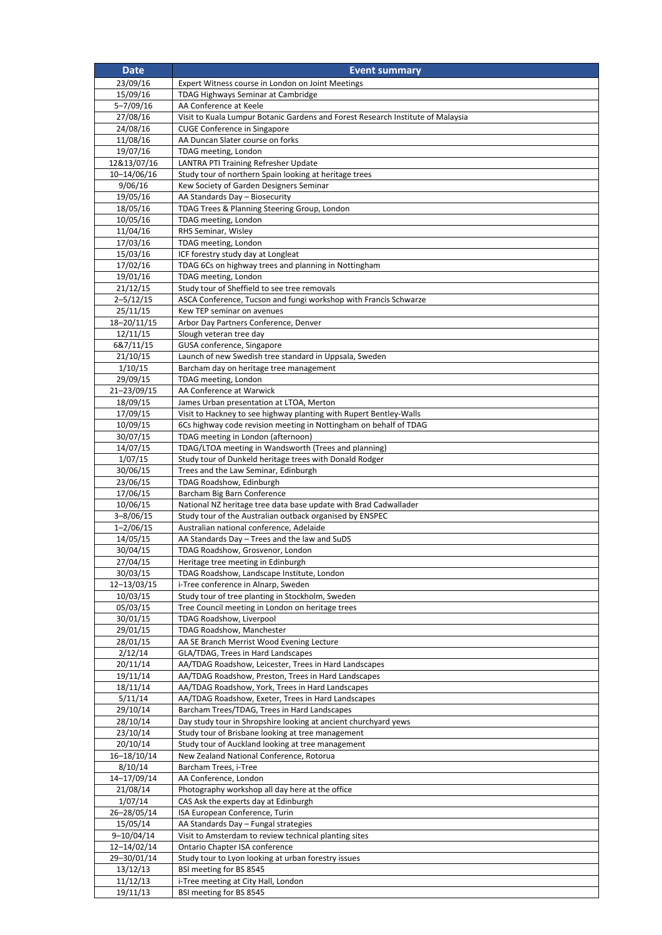| <b>Date</b>             | <b>Event summary</b>                                                                                           |
|-------------------------|----------------------------------------------------------------------------------------------------------------|
| 23/09/16                | Expert Witness course in London on Joint Meetings                                                              |
| 15/09/16                | TDAG Highways Seminar at Cambridge                                                                             |
| $5 - 7/09/16$           | AA Conference at Keele                                                                                         |
| 27/08/16                | Visit to Kuala Lumpur Botanic Gardens and Forest Research Institute of Malaysia                                |
| 24/08/16<br>11/08/16    | <b>CUGE Conference in Singapore</b><br>AA Duncan Slater course on forks                                        |
| 19/07/16                | TDAG meeting, London                                                                                           |
| 12&13/07/16             | LANTRA PTI Training Refresher Update                                                                           |
| 10-14/06/16             | Study tour of northern Spain looking at heritage trees                                                         |
| 9/06/16                 | Kew Society of Garden Designers Seminar                                                                        |
| 19/05/16                | AA Standards Day - Biosecurity                                                                                 |
| 18/05/16                | TDAG Trees & Planning Steering Group, London                                                                   |
| 10/05/16                | TDAG meeting, London<br>RHS Seminar, Wisley                                                                    |
| 11/04/16<br>17/03/16    | TDAG meeting, London                                                                                           |
| 15/03/16                | ICF forestry study day at Longleat                                                                             |
| 17/02/16                | TDAG 6Cs on highway trees and planning in Nottingham                                                           |
| 19/01/16                | TDAG meeting, London                                                                                           |
| 21/12/15                | Study tour of Sheffield to see tree removals                                                                   |
| $2 - 5/12/15$           | ASCA Conference, Tucson and fungi workshop with Francis Schwarze                                               |
| 25/11/15<br>18-20/11/15 | Kew TEP seminar on avenues<br>Arbor Day Partners Conference, Denver                                            |
| 12/11/15                | Slough veteran tree day                                                                                        |
| 6&7/11/15               | GUSA conference, Singapore                                                                                     |
| 21/10/15                | Launch of new Swedish tree standard in Uppsala, Sweden                                                         |
| 1/10/15                 | Barcham day on heritage tree management                                                                        |
| 29/09/15                | TDAG meeting, London                                                                                           |
| 21-23/09/15             | AA Conference at Warwick                                                                                       |
| 18/09/15<br>17/09/15    | James Urban presentation at LTOA, Merton<br>Visit to Hackney to see highway planting with Rupert Bentley-Walls |
| 10/09/15                | 6Cs highway code revision meeting in Nottingham on behalf of TDAG                                              |
| 30/07/15                | TDAG meeting in London (afternoon)                                                                             |
| 14/07/15                | TDAG/LTOA meeting in Wandsworth (Trees and planning)                                                           |
| 1/07/15                 | Study tour of Dunkeld heritage trees with Donald Rodger                                                        |
| 30/06/15                | Trees and the Law Seminar, Edinburgh                                                                           |
| 23/06/15<br>17/06/15    | TDAG Roadshow, Edinburgh                                                                                       |
| 10/06/15                | Barcham Big Barn Conference<br>National NZ heritage tree data base update with Brad Cadwallader                |
| $3 - 8/06/15$           | Study tour of the Australian outback organised by ENSPEC                                                       |
| $1 - 2/06/15$           | Australian national conference, Adelaide                                                                       |
| 14/05/15                | AA Standards Day - Trees and the law and SuDS                                                                  |
| 30/04/15                | TDAG Roadshow, Grosvenor, London                                                                               |
| 27/04/15<br>30/03/15    | Heritage tree meeting in Edinburgh<br>TDAG Roadshow, Landscape Institute, London                               |
| 12-13/03/15             | i-Tree conference in Alnarp, Sweden                                                                            |
| 10/03/15                | Study tour of tree planting in Stockholm, Sweden                                                               |
| 05/03/15                | Tree Council meeting in London on heritage trees                                                               |
| 30/01/15                | TDAG Roadshow, Liverpool                                                                                       |
| 29/01/15                | TDAG Roadshow, Manchester                                                                                      |
| 28/01/15                | AA SE Branch Merrist Wood Evening Lecture                                                                      |
| 2/12/14<br>20/11/14     | GLA/TDAG, Trees in Hard Landscapes<br>AA/TDAG Roadshow, Leicester, Trees in Hard Landscapes                    |
| 19/11/14                | AA/TDAG Roadshow, Preston, Trees in Hard Landscapes                                                            |
| 18/11/14                | AA/TDAG Roadshow, York, Trees in Hard Landscapes                                                               |
| 5/11/14                 | AA/TDAG Roadshow, Exeter, Trees in Hard Landscapes                                                             |
| 29/10/14                | Barcham Trees/TDAG, Trees in Hard Landscapes                                                                   |
| 28/10/14                | Day study tour in Shropshire looking at ancient churchyard yews                                                |
| 23/10/14<br>20/10/14    | Study tour of Brisbane looking at tree management<br>Study tour of Auckland looking at tree management         |
| 16-18/10/14             | New Zealand National Conference, Rotorua                                                                       |
| 8/10/14                 | Barcham Trees, i-Tree                                                                                          |
| 14-17/09/14             | AA Conference, London                                                                                          |
| 21/08/14                | Photography workshop all day here at the office                                                                |
| 1/07/14                 | CAS Ask the experts day at Edinburgh                                                                           |
| 26-28/05/14             | ISA European Conference, Turin                                                                                 |
| 15/05/14<br>9-10/04/14  | AA Standards Day - Fungal strategies<br>Visit to Amsterdam to review technical planting sites                  |
| 12-14/02/14             | Ontario Chapter ISA conference                                                                                 |
| 29-30/01/14             | Study tour to Lyon looking at urban forestry issues                                                            |
| 13/12/13                | BSI meeting for BS 8545                                                                                        |
| 11/12/13                | i-Tree meeting at City Hall, London                                                                            |
| 19/11/13                | BSI meeting for BS 8545                                                                                        |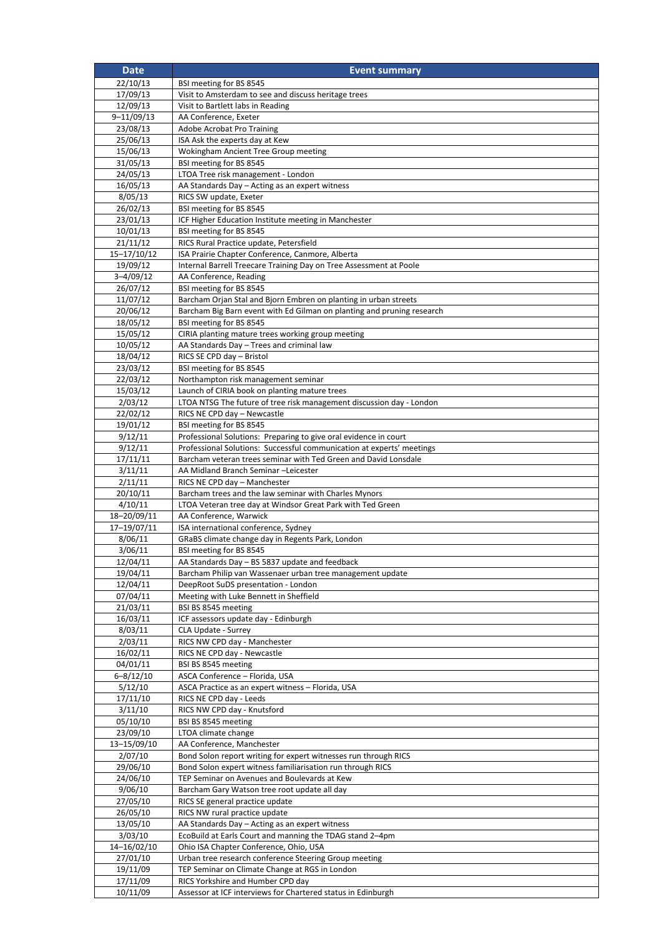| <b>Date</b>             | <b>Event summary</b>                                                                                                                     |
|-------------------------|------------------------------------------------------------------------------------------------------------------------------------------|
| 22/10/13                | BSI meeting for BS 8545                                                                                                                  |
| 17/09/13                | Visit to Amsterdam to see and discuss heritage trees                                                                                     |
| 12/09/13                | Visit to Bartlett labs in Reading                                                                                                        |
| $9 - 11/09/13$          | AA Conference, Exeter                                                                                                                    |
| 23/08/13                | Adobe Acrobat Pro Training                                                                                                               |
| 25/06/13<br>15/06/13    | ISA Ask the experts day at Kew<br>Wokingham Ancient Tree Group meeting                                                                   |
| 31/05/13                | BSI meeting for BS 8545                                                                                                                  |
| 24/05/13                | LTOA Tree risk management - London                                                                                                       |
| 16/05/13                | AA Standards Day - Acting as an expert witness                                                                                           |
| 8/05/13                 | RICS SW update, Exeter                                                                                                                   |
| 26/02/13                | BSI meeting for BS 8545                                                                                                                  |
| 23/01/13                | ICF Higher Education Institute meeting in Manchester                                                                                     |
| 10/01/13                | BSI meeting for BS 8545                                                                                                                  |
| 21/11/12<br>15-17/10/12 | RICS Rural Practice update, Petersfield<br>ISA Prairie Chapter Conference, Canmore, Alberta                                              |
| 19/09/12                | Internal Barrell Treecare Training Day on Tree Assessment at Poole                                                                       |
| $3 - 4/09/12$           | AA Conference, Reading                                                                                                                   |
| 26/07/12                | BSI meeting for BS 8545                                                                                                                  |
| 11/07/12                | Barcham Orjan Stal and Bjorn Embren on planting in urban streets                                                                         |
| 20/06/12                | Barcham Big Barn event with Ed Gilman on planting and pruning research                                                                   |
| 18/05/12                | BSI meeting for BS 8545                                                                                                                  |
| 15/05/12                | CIRIA planting mature trees working group meeting                                                                                        |
| 10/05/12<br>18/04/12    | AA Standards Day - Trees and criminal law<br>RICS SE CPD day - Bristol                                                                   |
| 23/03/12                | BSI meeting for BS 8545                                                                                                                  |
| 22/03/12                | Northampton risk management seminar                                                                                                      |
| 15/03/12                | Launch of CIRIA book on planting mature trees                                                                                            |
| 2/03/12                 | LTOA NTSG The future of tree risk management discussion day - London                                                                     |
| 22/02/12                | RICS NE CPD day - Newcastle                                                                                                              |
| 19/01/12                | BSI meeting for BS 8545                                                                                                                  |
| 9/12/11                 | Professional Solutions: Preparing to give oral evidence in court                                                                         |
| 9/12/11<br>17/11/11     | Professional Solutions: Successful communication at experts' meetings<br>Barcham veteran trees seminar with Ted Green and David Lonsdale |
| 3/11/11                 | AA Midland Branch Seminar -Leicester                                                                                                     |
| 2/11/11                 | RICS NE CPD day - Manchester                                                                                                             |
| 20/10/11                | Barcham trees and the law seminar with Charles Mynors                                                                                    |
| 4/10/11                 | LTOA Veteran tree day at Windsor Great Park with Ted Green                                                                               |
| 18-20/09/11             | AA Conference, Warwick                                                                                                                   |
| 17-19/07/11             | ISA international conference, Sydney                                                                                                     |
| 8/06/11<br>3/06/11      | GRaBS climate change day in Regents Park, London<br>BSI meeting for BS 8545                                                              |
| 12/04/11                | AA Standards Day – BS 5837 update and feedback                                                                                           |
| 19/04/11                | Barcham Philip van Wassenaer urban tree management update                                                                                |
| 12/04/11                | DeepRoot SuDS presentation - London                                                                                                      |
| 07/04/11                | Meeting with Luke Bennett in Sheffield                                                                                                   |
| 21/03/11                | BSI BS 8545 meeting                                                                                                                      |
| 16/03/11                | ICF assessors update day - Edinburgh                                                                                                     |
| 8/03/11<br>2/03/11      | CLA Update - Surrey<br>RICS NW CPD day - Manchester                                                                                      |
| 16/02/11                | RICS NE CPD day - Newcastle                                                                                                              |
| 04/01/11                | BSI BS 8545 meeting                                                                                                                      |
| $6 - 8/12/10$           | ASCA Conference - Florida, USA                                                                                                           |
| 5/12/10                 | ASCA Practice as an expert witness - Florida, USA                                                                                        |
| 17/11/10                | RICS NE CPD day - Leeds                                                                                                                  |
| 3/11/10                 | RICS NW CPD day - Knutsford                                                                                                              |
| 05/10/10<br>23/09/10    | BSI BS 8545 meeting<br>LTOA climate change                                                                                               |
| 13-15/09/10             | AA Conference, Manchester                                                                                                                |
| 2/07/10                 | Bond Solon report writing for expert witnesses run through RICS                                                                          |
| 29/06/10                | Bond Solon expert witness familiarisation run through RICS                                                                               |
| 24/06/10                | TEP Seminar on Avenues and Boulevards at Kew                                                                                             |
| 9/06/10                 | Barcham Gary Watson tree root update all day                                                                                             |
| 27/05/10                | RICS SE general practice update                                                                                                          |
| 26/05/10                | RICS NW rural practice update                                                                                                            |
| 13/05/10<br>3/03/10     | AA Standards Day - Acting as an expert witness<br>EcoBuild at Earls Court and manning the TDAG stand 2-4pm                               |
| 14-16/02/10             | Ohio ISA Chapter Conference, Ohio, USA                                                                                                   |
| 27/01/10                | Urban tree research conference Steering Group meeting                                                                                    |
| 19/11/09                | TEP Seminar on Climate Change at RGS in London                                                                                           |
| 17/11/09                | RICS Yorkshire and Humber CPD day                                                                                                        |
| 10/11/09                | Assessor at ICF interviews for Chartered status in Edinburgh                                                                             |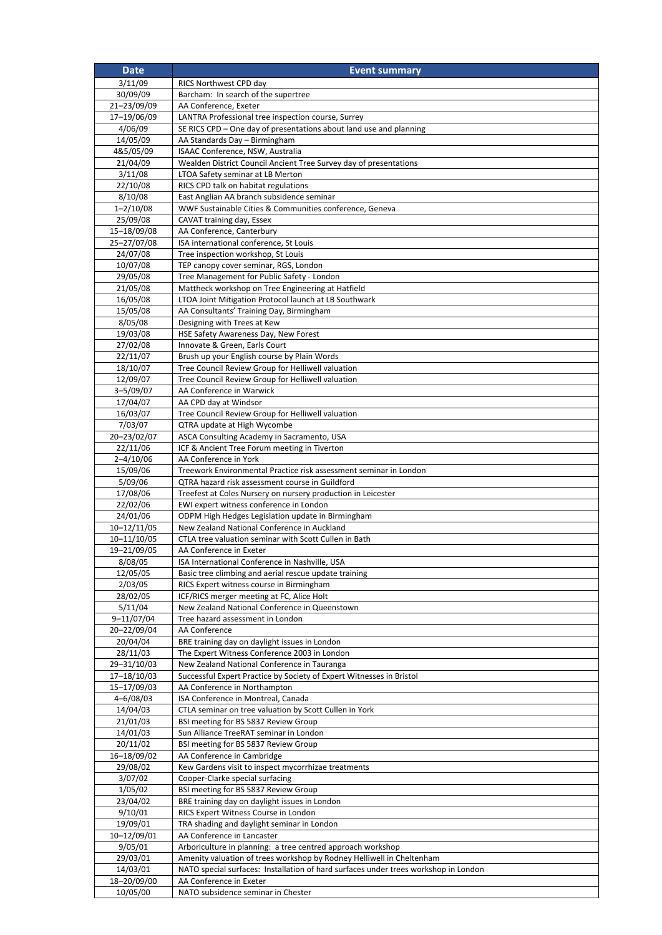| <b>Date</b>                 | <b>Event summary</b>                                                                                 |
|-----------------------------|------------------------------------------------------------------------------------------------------|
| 3/11/09                     | RICS Northwest CPD day                                                                               |
| 30/09/09                    | Barcham: In search of the supertree                                                                  |
| 21-23/09/09                 | AA Conference, Exeter                                                                                |
| 17-19/06/09                 | LANTRA Professional tree inspection course, Surrey                                                   |
| 4/06/09<br>14/05/09         | SE RICS CPD - One day of presentations about land use and planning<br>AA Standards Day - Birmingham  |
| 4&5/05/09                   | ISAAC Conference, NSW, Australia                                                                     |
| 21/04/09                    | Wealden District Council Ancient Tree Survey day of presentations                                    |
| 3/11/08                     | LTOA Safety seminar at LB Merton                                                                     |
| 22/10/08                    | RICS CPD talk on habitat regulations                                                                 |
| 8/10/08                     | East Anglian AA branch subsidence seminar                                                            |
| $1 - 2/10/08$               | WWF Sustainable Cities & Communities conference, Geneva                                              |
| 25/09/08                    | CAVAT training day, Essex                                                                            |
| 15-18/09/08<br>25-27/07/08  | AA Conference, Canterbury                                                                            |
| 24/07/08                    | ISA international conference, St Louis<br>Tree inspection workshop, St Louis                         |
| 10/07/08                    | TEP canopy cover seminar, RGS, London                                                                |
| 29/05/08                    | Tree Management for Public Safety - London                                                           |
| 21/05/08                    | Mattheck workshop on Tree Engineering at Hatfield                                                    |
| 16/05/08                    | LTOA Joint Mitigation Protocol launch at LB Southwark                                                |
| 15/05/08                    | AA Consultants' Training Day, Birmingham                                                             |
| 8/05/08                     | Designing with Trees at Kew                                                                          |
| 19/03/08<br>27/02/08        | HSE Safety Awareness Day, New Forest<br>Innovate & Green, Earls Court                                |
| 22/11/07                    | Brush up your English course by Plain Words                                                          |
| 18/10/07                    | Tree Council Review Group for Helliwell valuation                                                    |
| 12/09/07                    | Tree Council Review Group for Helliwell valuation                                                    |
| $3 - 5/09/07$               | AA Conference in Warwick                                                                             |
| 17/04/07                    | AA CPD day at Windsor                                                                                |
| 16/03/07                    | Tree Council Review Group for Helliwell valuation                                                    |
| 7/03/07                     | QTRA update at High Wycombe<br>ASCA Consulting Academy in Sacramento, USA                            |
| 20-23/02/07<br>22/11/06     | ICF & Ancient Tree Forum meeting in Tiverton                                                         |
| $2 - 4/10/06$               | AA Conference in York                                                                                |
| 15/09/06                    | Treework Environmental Practice risk assessment seminar in London                                    |
| 5/09/06                     | QTRA hazard risk assessment course in Guildford                                                      |
| 17/08/06                    | Treefest at Coles Nursery on nursery production in Leicester                                         |
| 22/02/06                    | EWI expert witness conference in London                                                              |
| 24/01/06<br>$10 - 12/11/05$ | ODPM High Hedges Legislation update in Birmingham                                                    |
| 10-11/10/05                 | New Zealand National Conference in Auckland<br>CTLA tree valuation seminar with Scott Cullen in Bath |
| 19-21/09/05                 | AA Conference in Exeter                                                                              |
| 8/08/05                     | ISA International Conference in Nashville, USA                                                       |
| 12/05/05                    | Basic tree climbing and aerial rescue update training                                                |
| 2/03/05                     | RICS Expert witness course in Birmingham                                                             |
| 28/02/05                    | ICF/RICS merger meeting at FC, Alice Holt                                                            |
| 5/11/04                     | New Zealand National Conference in Queenstown                                                        |
| 9-11/07/04<br>20-22/09/04   | Tree hazard assessment in London<br>AA Conference                                                    |
| 20/04/04                    | BRE training day on daylight issues in London                                                        |
| 28/11/03                    | The Expert Witness Conference 2003 in London                                                         |
| 29-31/10/03                 | New Zealand National Conference in Tauranga                                                          |
| 17-18/10/03                 | Successful Expert Practice by Society of Expert Witnesses in Bristol                                 |
| 15-17/09/03                 | AA Conference in Northampton                                                                         |
| $4 - 6/08/03$               | ISA Conference in Montreal, Canada                                                                   |
| 14/04/03<br>21/01/03        | CTLA seminar on tree valuation by Scott Cullen in York<br>BSI meeting for BS 5837 Review Group       |
| 14/01/03                    | Sun Alliance TreeRAT seminar in London                                                               |
| 20/11/02                    | BSI meeting for BS 5837 Review Group                                                                 |
| 16-18/09/02                 | AA Conference in Cambridge                                                                           |
| 29/08/02                    | Kew Gardens visit to inspect mycorrhizae treatments                                                  |
| 3/07/02                     | Cooper-Clarke special surfacing                                                                      |
| 1/05/02                     | BSI meeting for BS 5837 Review Group                                                                 |
| 23/04/02<br>9/10/01         | BRE training day on daylight issues in London<br>RICS Expert Witness Course in London                |
| 19/09/01                    | TRA shading and daylight seminar in London                                                           |
| 10-12/09/01                 | AA Conference in Lancaster                                                                           |
| 9/05/01                     | Arboriculture in planning: a tree centred approach workshop                                          |
| 29/03/01                    | Amenity valuation of trees workshop by Rodney Helliwell in Cheltenham                                |
| 14/03/01                    | NATO special surfaces: Installation of hard surfaces under trees workshop in London                  |
| 18-20/09/00                 | AA Conference in Exeter                                                                              |
| 10/05/00                    | NATO subsidence seminar in Chester                                                                   |